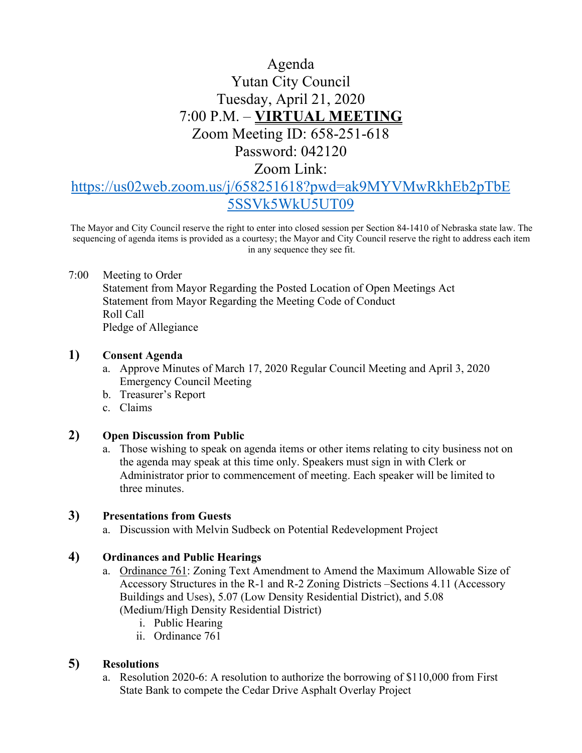# Agenda Yutan City Council Tuesday, April 21, 2020 7:00 P.M. – **VIRTUAL MEETING** Zoom Meeting ID: 658-251-618 Password: 042120

Zoom Link:

# [https://us02web.zoom.us/j/658251618?pwd=ak9MYVMwRkhEb2pTbE](https://us02web.zoom.us/j/658251618?pwd=ak9MYVMwRkhEb2pTbE5SSVk5WkU5UT09) [5SSVk5WkU5UT09](https://us02web.zoom.us/j/658251618?pwd=ak9MYVMwRkhEb2pTbE5SSVk5WkU5UT09)

The Mayor and City Council reserve the right to enter into closed session per Section 84-1410 of Nebraska state law. The sequencing of agenda items is provided as a courtesy; the Mayor and City Council reserve the right to address each item in any sequence they see fit.

### 7:00 Meeting to Order

Statement from Mayor Regarding the Posted Location of Open Meetings Act Statement from Mayor Regarding the Meeting Code of Conduct Roll Call Pledge of Allegiance

### **1) Consent Agenda**

- a. Approve Minutes of March 17, 2020 Regular Council Meeting and April 3, 2020 Emergency Council Meeting
- b. Treasurer's Report
- c. Claims

### **2) Open Discussion from Public**

a. Those wishing to speak on agenda items or other items relating to city business not on the agenda may speak at this time only. Speakers must sign in with Clerk or Administrator prior to commencement of meeting. Each speaker will be limited to three minutes.

### **3) Presentations from Guests**

a. Discussion with Melvin Sudbeck on Potential Redevelopment Project

# **4) Ordinances and Public Hearings**

- a. Ordinance 761: Zoning Text Amendment to Amend the Maximum Allowable Size of Accessory Structures in the R-1 and R-2 Zoning Districts –Sections 4.11 (Accessory Buildings and Uses), 5.07 (Low Density Residential District), and 5.08 (Medium/High Density Residential District)
	- i. Public Hearing
	- ii. Ordinance 761

# **5) Resolutions**

a. Resolution 2020-6: A resolution to authorize the borrowing of \$110,000 from First State Bank to compete the Cedar Drive Asphalt Overlay Project